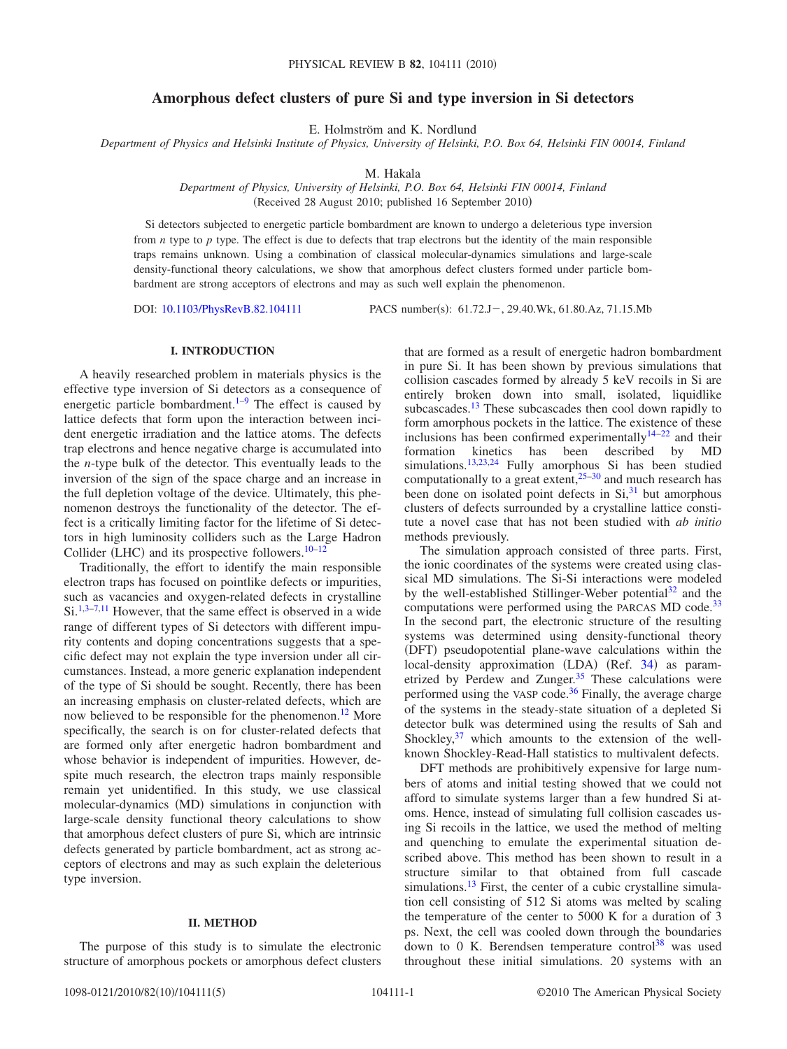# **Amorphous defect clusters of pure Si and type inversion in Si detectors**

E. Holmström and K. Nordlund

*Department of Physics and Helsinki Institute of Physics, University of Helsinki, P.O. Box 64, Helsinki FIN 00014, Finland*

M. Hakala

*Department of Physics, University of Helsinki, P.O. Box 64, Helsinki FIN 00014, Finland* (Received 28 August 2010; published 16 September 2010)

Si detectors subjected to energetic particle bombardment are known to undergo a deleterious type inversion from *n* type to *p* type. The effect is due to defects that trap electrons but the identity of the main responsible traps remains unknown. Using a combination of classical molecular-dynamics simulations and large-scale density-functional theory calculations, we show that amorphous defect clusters formed under particle bombardment are strong acceptors of electrons and may as such well explain the phenomenon.

DOI: [10.1103/PhysRevB.82.104111](http://dx.doi.org/10.1103/PhysRevB.82.104111)

PACS number(s): 61.72.J - , 29.40.Wk, 61.80.Az, 71.15.Mb

## **I. INTRODUCTION**

A heavily researched problem in materials physics is the effective type inversion of Si detectors as a consequence of energetic particle bombardment.<sup>1–[9](#page-3-1)</sup> The effect is caused by lattice defects that form upon the interaction between incident energetic irradiation and the lattice atoms. The defects trap electrons and hence negative charge is accumulated into the *n*-type bulk of the detector. This eventually leads to the inversion of the sign of the space charge and an increase in the full depletion voltage of the device. Ultimately, this phenomenon destroys the functionality of the detector. The effect is a critically limiting factor for the lifetime of Si detectors in high luminosity colliders such as the Large Hadron Collider (LHC) and its prospective followers. $10-12$ 

Traditionally, the effort to identify the main responsible electron traps has focused on pointlike defects or impurities, such as vacancies and oxygen-related defects in crystalline Si.<sup>1,[3–](#page-3-3)[7,](#page-3-4)[11](#page-3-5)</sup> However, that the same effect is observed in a wide range of different types of Si detectors with different impurity contents and doping concentrations suggests that a specific defect may not explain the type inversion under all circumstances. Instead, a more generic explanation independent of the type of Si should be sought. Recently, there has been an increasing emphasis on cluster-related defects, which are now believed to be responsible for the phenomenon.<sup>12</sup> More specifically, the search is on for cluster-related defects that are formed only after energetic hadron bombardment and whose behavior is independent of impurities. However, despite much research, the electron traps mainly responsible remain yet unidentified. In this study, we use classical molecular-dynamics (MD) simulations in conjunction with large-scale density functional theory calculations to show that amorphous defect clusters of pure Si, which are intrinsic defects generated by particle bombardment, act as strong acceptors of electrons and may as such explain the deleterious type inversion.

### **II. METHOD**

<span id="page-0-0"></span>The purpose of this study is to simulate the electronic structure of amorphous pockets or amorphous defect clusters that are formed as a result of energetic hadron bombardment in pure Si. It has been shown by previous simulations that collision cascades formed by already 5 keV recoils in Si are entirely broken down into small, isolated, liquidlike subcascades.<sup>13</sup> These subcascades then cool down rapidly to form amorphous pockets in the lattice. The existence of these inclusions has been confirmed experimentally $14-22$  and their formation kinetics has been described by MD simulations.<sup>13[,23](#page-4-4)[,24](#page-4-5)</sup> Fully amorphous Si has been studied computationally to a great extent, $25-30$  and much research has been done on isolated point defects in  $Si$ ,  $31$  but amorphous clusters of defects surrounded by a crystalline lattice constitute a novel case that has not been studied with *ab initio* methods previously.

The simulation approach consisted of three parts. First, the ionic coordinates of the systems were created using classical MD simulations. The Si-Si interactions were modeled by the well-established Stillinger-Weber potential<sup>32</sup> and the computations were performed using the PARCAS MD code. $33$ In the second part, the electronic structure of the resulting systems was determined using density-functional theory (DFT) pseudopotential plane-wave calculations within the local-density approximation (LDA) (Ref. [34](#page-4-11)) as parametrized by Perdew and Zunger.<sup>35</sup> These calculations were performed using the VASP code.<sup>36</sup> Finally, the average charge of the systems in the steady-state situation of a depleted Si detector bulk was determined using the results of Sah and Shockley, $37$  which amounts to the extension of the wellknown Shockley-Read-Hall statistics to multivalent defects.

DFT methods are prohibitively expensive for large numbers of atoms and initial testing showed that we could not afford to simulate systems larger than a few hundred Si atoms. Hence, instead of simulating full collision cascades using Si recoils in the lattice, we used the method of melting and quenching to emulate the experimental situation described above. This method has been shown to result in a structure similar to that obtained from full cascade simulations.<sup>13</sup> First, the center of a cubic crystalline simulation cell consisting of 512 Si atoms was melted by scaling the temperature of the center to 5000 K for a duration of 3 ps. Next, the cell was cooled down through the boundaries down to 0 K. Berendsen temperature control<sup>38</sup> was used throughout these initial simulations. 20 systems with an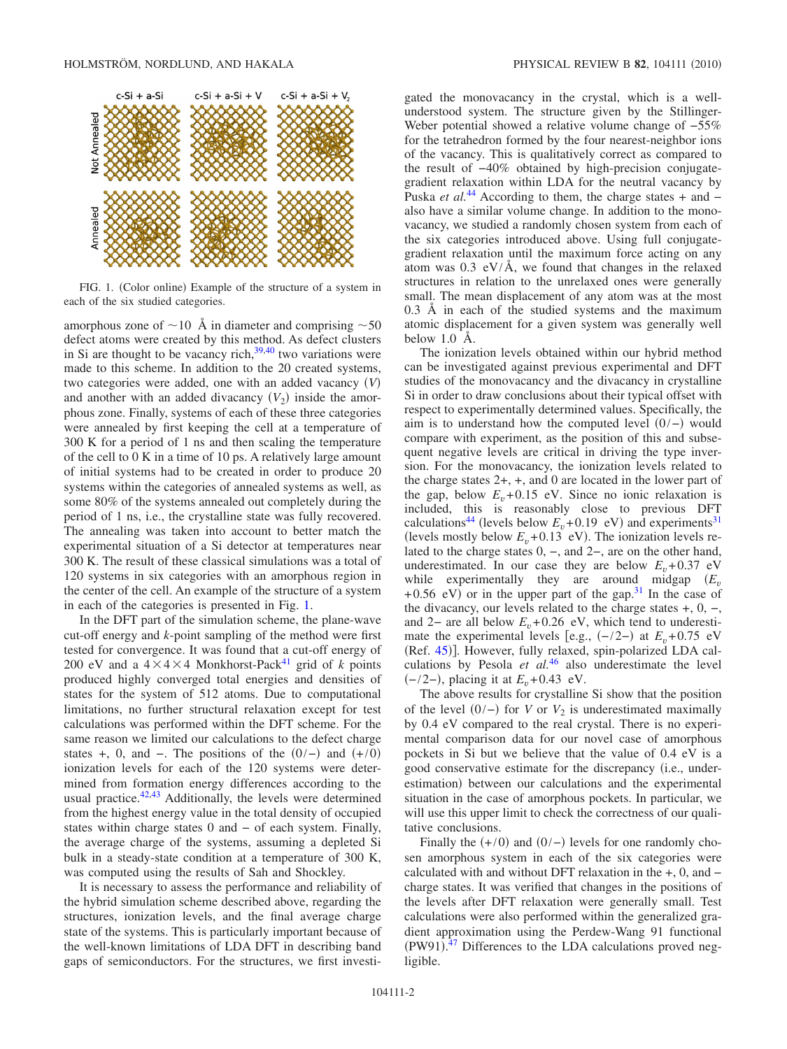<span id="page-1-0"></span>

FIG. 1. (Color online) Example of the structure of a system in each of the six studied categories.

amorphous zone of  $\sim$ 10 Å in diameter and comprising  $\sim$ 50 defect atoms were created by this method. As defect clusters in Si are thought to be vacancy rich, $39,40$  $39,40$  two variations were made to this scheme. In addition to the 20 created systems, two categories were added, one with an added vacancy *V* and another with an added divacancy  $(V_2)$  inside the amorphous zone. Finally, systems of each of these three categories were annealed by first keeping the cell at a temperature of 300 K for a period of 1 ns and then scaling the temperature of the cell to 0 K in a time of 10 ps. A relatively large amount of initial systems had to be created in order to produce 20 systems within the categories of annealed systems as well, as some 80% of the systems annealed out completely during the period of 1 ns, i.e., the crystalline state was fully recovered. The annealing was taken into account to better match the experimental situation of a Si detector at temperatures near 300 K. The result of these classical simulations was a total of 120 systems in six categories with an amorphous region in the center of the cell. An example of the structure of a system in each of the categories is presented in Fig. [1.](#page-1-0)

In the DFT part of the simulation scheme, the plane-wave cut-off energy and *k*-point sampling of the method were first tested for convergence. It was found that a cut-off energy of 200 eV and a  $4 \times 4 \times 4$  Monkhorst-Pack<sup>41</sup> grid of *k* points produced highly converged total energies and densities of states for the system of 512 atoms. Due to computational limitations, no further structural relaxation except for test calculations was performed within the DFT scheme. For the same reason we limited our calculations to the defect charge states +, 0, and −. The positions of the  $(0/-)$  and  $(+/0)$ ionization levels for each of the 120 systems were determined from formation energy differences according to the usual practice. $42,43$  $42,43$  Additionally, the levels were determined from the highest energy value in the total density of occupied states within charge states 0 and − of each system. Finally, the average charge of the systems, assuming a depleted Si bulk in a steady-state condition at a temperature of 300 K, was computed using the results of Sah and Shockley.

It is necessary to assess the performance and reliability of the hybrid simulation scheme described above, regarding the structures, ionization levels, and the final average charge state of the systems. This is particularly important because of the well-known limitations of LDA DFT in describing band gaps of semiconductors. For the structures, we first investigated the monovacancy in the crystal, which is a wellunderstood system. The structure given by the Stillinger-Weber potential showed a relative volume change of −55% for the tetrahedron formed by the four nearest-neighbor ions of the vacancy. This is qualitatively correct as compared to the result of −40% obtained by high-precision conjugategradient relaxation within LDA for the neutral vacancy by Puska *et al.*<sup>[44](#page-4-21)</sup> According to them, the charge states + and − also have a similar volume change. In addition to the monovacancy, we studied a randomly chosen system from each of the six categories introduced above. Using full conjugategradient relaxation until the maximum force acting on any atom was  $0.3 \text{ eV/A}$ , we found that changes in the relaxed structures in relation to the unrelaxed ones were generally small. The mean displacement of any atom was at the most 0.3 Å in each of the studied systems and the maximum atomic displacement for a given system was generally well below 1.0 Å.

The ionization levels obtained within our hybrid method can be investigated against previous experimental and DFT studies of the monovacancy and the divacancy in crystalline Si in order to draw conclusions about their typical offset with respect to experimentally determined values. Specifically, the aim is to understand how the computed level  $(0/-)$  would compare with experiment, as the position of this and subsequent negative levels are critical in driving the type inversion. For the monovacancy, the ionization levels related to the charge states 2+, +, and 0 are located in the lower part of the gap, below  $E<sub>v</sub> + 0.15$  eV. Since no ionic relaxation is included, this is reasonably close to previous DFT calculations<sup>44</sup> (levels below  $E_v + 0.19$  eV) and experiments<sup>31</sup> (levels mostly below  $E_v + 0.13$  eV). The ionization levels related to the charge states 0, −, and 2−, are on the other hand, underestimated. In our case they are below  $E_v + 0.37$  eV while experimentally they are around midgap  $(E_v)$  $+0.56$  eV) or in the upper part of the gap.<sup>31</sup> In the case of the divacancy, our levels related to the charge states +, 0, −, and 2– are all below  $E<sub>v</sub>$ +0.26 eV, which tend to underestimate the experimental levels [e.g.,  $(-/2-)$  at  $E_v+0.75$  eV (Ref. [45](#page-4-22))]. However, fully relaxed, spin-polarized LDA calculations by Pesola *et al.*[46](#page-4-23) also underestimate the level −/2−-, placing it at *Ev*+0.43 eV.

The above results for crystalline Si show that the position of the level  $(0/-)$  for *V* or  $V_2$  is underestimated maximally by 0.4 eV compared to the real crystal. There is no experimental comparison data for our novel case of amorphous pockets in Si but we believe that the value of 0.4 eV is a good conservative estimate for the discrepancy (i.e., underestimation) between our calculations and the experimental situation in the case of amorphous pockets. In particular, we will use this upper limit to check the correctness of our qualitative conclusions.

Finally the  $(+/0)$  and  $(0/-)$  levels for one randomly chosen amorphous system in each of the six categories were calculated with and without DFT relaxation in the +, 0, and − charge states. It was verified that changes in the positions of the levels after DFT relaxation were generally small. Test calculations were also performed within the generalized gradient approximation using the Perdew-Wang 91 functional (PW91).<sup>[47](#page-4-24)</sup> Differences to the LDA calculations proved negligible.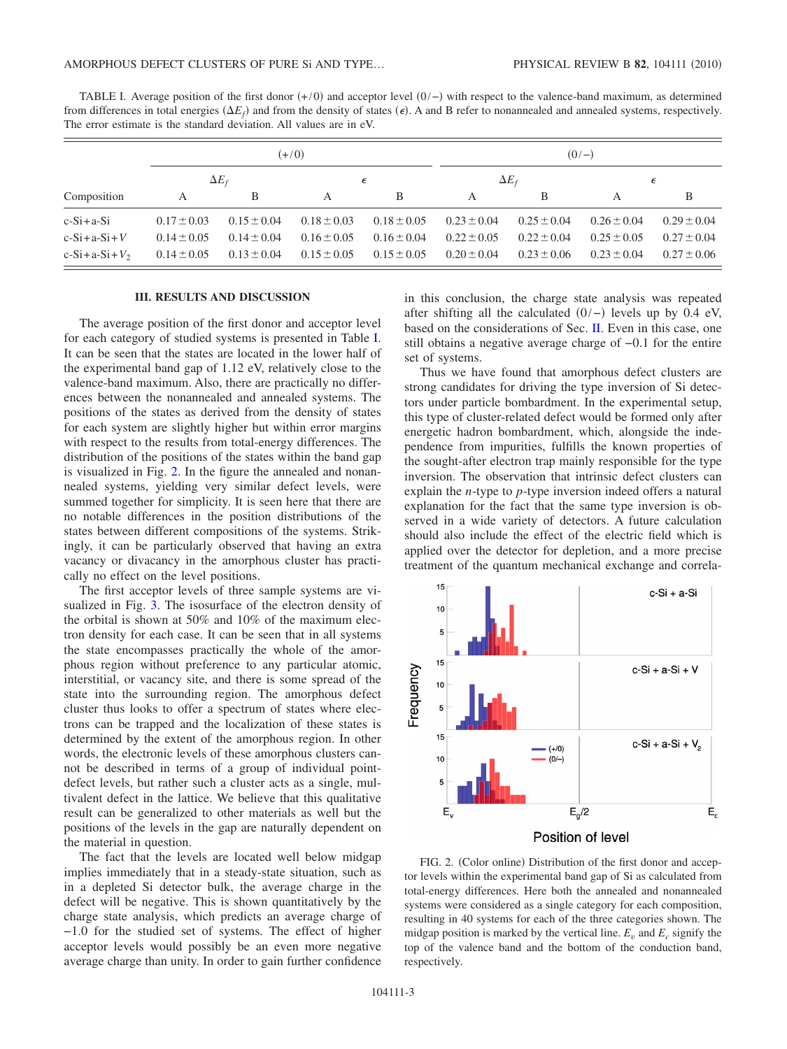<span id="page-2-0"></span>TABLE I. Average position of the first donor  $(+/0)$  and acceptor level  $(0/-)$  with respect to the valence-band maximum, as determined from differences in total energies  $(\Delta E_f)$  and from the density of states  $(\epsilon)$ . A and B refer to nonannealed and annealed systems, respectively. The error estimate is the standard deviation. All values are in eV.

|                 | $(+/0)$         |                 |                 |                 | $(0/-)$         |                 |                 |                 |
|-----------------|-----------------|-----------------|-----------------|-----------------|-----------------|-----------------|-----------------|-----------------|
|                 | $\Delta E_f$    |                 | $\epsilon$      |                 | $\Delta E_f$    |                 | $\epsilon$      |                 |
| Composition     | Α               | B               | А               | B               | А               | B               |                 | В               |
| $c-Si+a-Si$     | $0.17 \pm 0.03$ | $0.15 \pm 0.04$ | $0.18 \pm 0.03$ | $0.18 \pm 0.05$ | $0.23 \pm 0.04$ | $0.25 \pm 0.04$ | $0.26 \pm 0.04$ | $0.29 \pm 0.04$ |
| $c-Si+a-Si+V$   | $0.14 \pm 0.05$ | $0.14 \pm 0.04$ | $0.16 \pm 0.05$ | $0.16 \pm 0.04$ | $0.22 \pm 0.05$ | $0.22 \pm 0.04$ | $0.25 \pm 0.05$ | $0.27 \pm 0.04$ |
| $c-Si+a-Si+V_2$ | $0.14 \pm 0.05$ | $0.13 \pm 0.04$ | $0.15 \pm 0.05$ | $0.15 \pm 0.05$ | $0.20 \pm 0.04$ | $0.23 \pm 0.06$ | $0.23 \pm 0.04$ | $0.27 \pm 0.06$ |

#### **III. RESULTS AND DISCUSSION**

The average position of the first donor and acceptor level for each category of studied systems is presented in Table [I.](#page-2-0) It can be seen that the states are located in the lower half of the experimental band gap of 1.12 eV, relatively close to the valence-band maximum. Also, there are practically no differences between the nonannealed and annealed systems. The positions of the states as derived from the density of states for each system are slightly higher but within error margins with respect to the results from total-energy differences. The distribution of the positions of the states within the band gap is visualized in Fig. [2.](#page-2-1) In the figure the annealed and nonannealed systems, yielding very similar defect levels, were summed together for simplicity. It is seen here that there are no notable differences in the position distributions of the states between different compositions of the systems. Strikingly, it can be particularly observed that having an extra vacancy or divacancy in the amorphous cluster has practically no effect on the level positions.

The first acceptor levels of three sample systems are visualized in Fig. [3.](#page-3-6) The isosurface of the electron density of the orbital is shown at 50% and 10% of the maximum electron density for each case. It can be seen that in all systems the state encompasses practically the whole of the amorphous region without preference to any particular atomic, interstitial, or vacancy site, and there is some spread of the state into the surrounding region. The amorphous defect cluster thus looks to offer a spectrum of states where electrons can be trapped and the localization of these states is determined by the extent of the amorphous region. In other words, the electronic levels of these amorphous clusters cannot be described in terms of a group of individual pointdefect levels, but rather such a cluster acts as a single, multivalent defect in the lattice. We believe that this qualitative result can be generalized to other materials as well but the positions of the levels in the gap are naturally dependent on the material in question.

The fact that the levels are located well below midgap implies immediately that in a steady-state situation, such as in a depleted Si detector bulk, the average charge in the defect will be negative. This is shown quantitatively by the charge state analysis, which predicts an average charge of −1.0 for the studied set of systems. The effect of higher acceptor levels would possibly be an even more negative average charge than unity. In order to gain further confidence in this conclusion, the charge state analysis was repeated after shifting all the calculated  $(0/-)$  levels up by 0.4 eV, based on the considerations of Sec. [II.](#page-0-0) Even in this case, one still obtains a negative average charge of −0.1 for the entire set of systems.

Thus we have found that amorphous defect clusters are strong candidates for driving the type inversion of Si detectors under particle bombardment. In the experimental setup, this type of cluster-related defect would be formed only after energetic hadron bombardment, which, alongside the independence from impurities, fulfills the known properties of the sought-after electron trap mainly responsible for the type inversion. The observation that intrinsic defect clusters can explain the *n*-type to *p*-type inversion indeed offers a natural explanation for the fact that the same type inversion is observed in a wide variety of detectors. A future calculation should also include the effect of the electric field which is applied over the detector for depletion, and a more precise treatment of the quantum mechanical exchange and correla-

<span id="page-2-1"></span>

Position of level

FIG. 2. (Color online) Distribution of the first donor and acceptor levels within the experimental band gap of Si as calculated from total-energy differences. Here both the annealed and nonannealed systems were considered as a single category for each composition, resulting in 40 systems for each of the three categories shown. The midgap position is marked by the vertical line.  $E<sub>v</sub>$  and  $E<sub>c</sub>$  signify the top of the valence band and the bottom of the conduction band, respectively.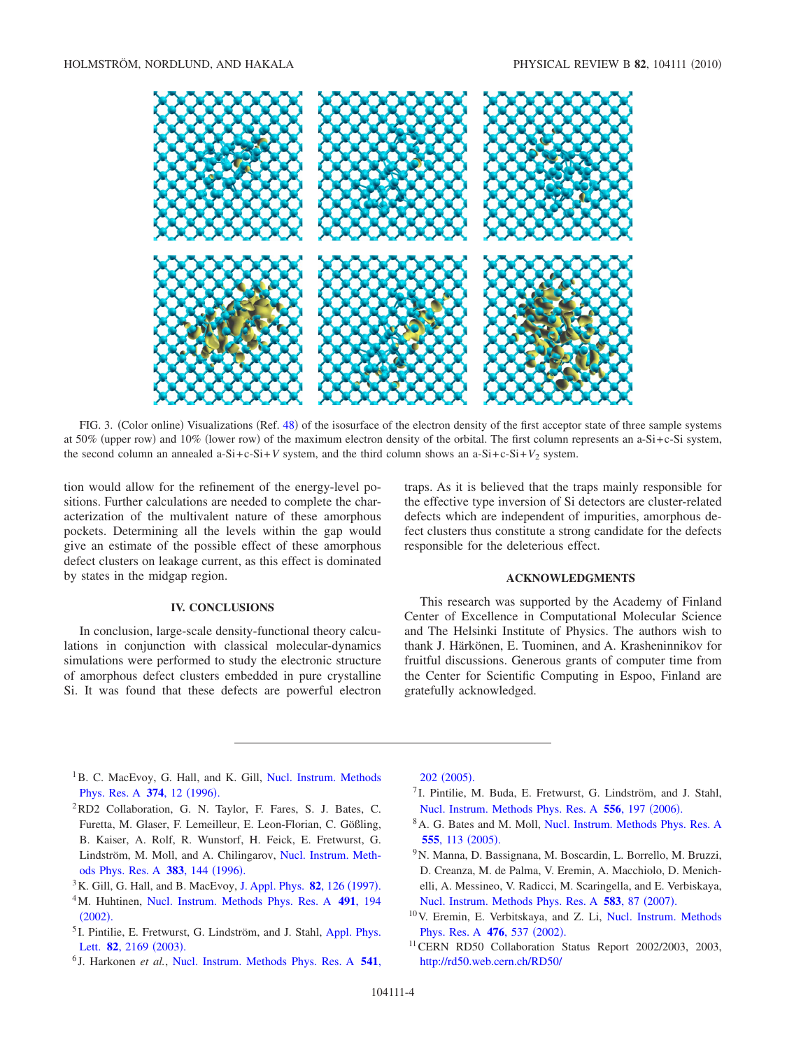<span id="page-3-6"></span>

FIG. 3. (Color online) Visualizations (Ref. [48](#page-4-25)) of the isosurface of the electron density of the first acceptor state of three sample systems at 50% (upper row) and 10% (lower row) of the maximum electron density of the orbital. The first column represents an  $a-Si+c-Si$  system, the second column an annealed a-Si+c-Si+*V* system, and the third column shows an a-Si+c-Si+*V*<sub>2</sub> system.

tion would allow for the refinement of the energy-level positions. Further calculations are needed to complete the characterization of the multivalent nature of these amorphous pockets. Determining all the levels within the gap would give an estimate of the possible effect of these amorphous defect clusters on leakage current, as this effect is dominated by states in the midgap region.

## **IV. CONCLUSIONS**

In conclusion, large-scale density-functional theory calculations in conjunction with classical molecular-dynamics simulations were performed to study the electronic structure of amorphous defect clusters embedded in pure crystalline Si. It was found that these defects are powerful electron traps. As it is believed that the traps mainly responsible for the effective type inversion of Si detectors are cluster-related defects which are independent of impurities, amorphous defect clusters thus constitute a strong candidate for the defects responsible for the deleterious effect.

#### **ACKNOWLEDGMENTS**

This research was supported by the Academy of Finland Center of Excellence in Computational Molecular Science and The Helsinki Institute of Physics. The authors wish to thank J. Härkönen, E. Tuominen, and A. Krasheninnikov for fruitful discussions. Generous grants of computer time from the Center for Scientific Computing in Espoo, Finland are gratefully acknowledged.

- <span id="page-3-0"></span><sup>1</sup>B. C. MacEvoy, G. Hall, and K. Gill, [Nucl. Instrum. Methods](http://dx.doi.org/10.1016/0168-9002(96)37410-X) [Phys. Res. A](http://dx.doi.org/10.1016/0168-9002(96)37410-X) 374, 12 (1996).
- 2RD2 Collaboration, G. N. Taylor, F. Fares, S. J. Bates, C. Furetta, M. Glaser, F. Lemeilleur, E. Leon-Florian, C. Gößling, B. Kaiser, A. Rolf, R. Wunstorf, H. Feick, E. Fretwurst, G. Lindström, M. Moll, and A. Chilingarov, [Nucl. Instrum. Meth](http://dx.doi.org/10.1016/S0168-9002(96)00668-7)[ods Phys. Res. A](http://dx.doi.org/10.1016/S0168-9002(96)00668-7) 383, 144 (1996).
- <span id="page-3-3"></span><sup>3</sup> K. Gill, G. Hall, and B. MacEvoy, [J. Appl. Phys.](http://dx.doi.org/10.1063/1.365790) **82**, 126 (1997).
- 4M. Huhtinen, [Nucl. Instrum. Methods Phys. Res. A](http://dx.doi.org/10.1016/S0168-9002(02)01227-5) **491**, 194  $(2002).$  $(2002).$  $(2002).$
- <sup>5</sup> I. Pintilie, E. Fretwurst, G. Lindström, and J. Stahl, [Appl. Phys.](http://dx.doi.org/10.1063/1.1564869) Lett. 82[, 2169](http://dx.doi.org/10.1063/1.1564869) (2003).
- <sup>6</sup> J. Harkonen *et al.*, [Nucl. Instrum. Methods Phys. Res. A](http://dx.doi.org/10.1016/j.nima.2005.01.057) **541**,

202 ([2005](http://dx.doi.org/10.1016/j.nima.2005.01.057)).

- <span id="page-3-4"></span><sup>7</sup> I. Pintilie, M. Buda, E. Fretwurst, G. Lindström, and J. Stahl, [Nucl. Instrum. Methods Phys. Res. A](http://dx.doi.org/10.1016/j.nima.2005.10.013) 556, 197 (2006).
- 8A. G. Bates and M. Moll, [Nucl. Instrum. Methods Phys. Res. A](http://dx.doi.org/10.1016/j.nima.2005.09.020) **555**[, 113](http://dx.doi.org/10.1016/j.nima.2005.09.020) (2005).
- <span id="page-3-1"></span>9N. Manna, D. Bassignana, M. Boscardin, L. Borrello, M. Bruzzi, D. Creanza, M. de Palma, V. Eremin, A. Macchiolo, D. Menichelli, A. Messineo, V. Radicci, M. Scaringella, and E. Verbiskaya, [Nucl. Instrum. Methods Phys. Res. A](http://dx.doi.org/10.1016/j.nima.2007.08.208) 583, 87 (2007).
- <span id="page-3-2"></span>10V. Eremin, E. Verbitskaya, and Z. Li, [Nucl. Instrum. Methods](http://dx.doi.org/10.1016/S0168-9002(01)01640-0) [Phys. Res. A](http://dx.doi.org/10.1016/S0168-9002(01)01640-0) 476, 537 (2002).
- <span id="page-3-5"></span><sup>11</sup>CERN RD50 Collaboration Status Report 2002/2003, 2003, <http://rd50.web.cern.ch/RD50/>